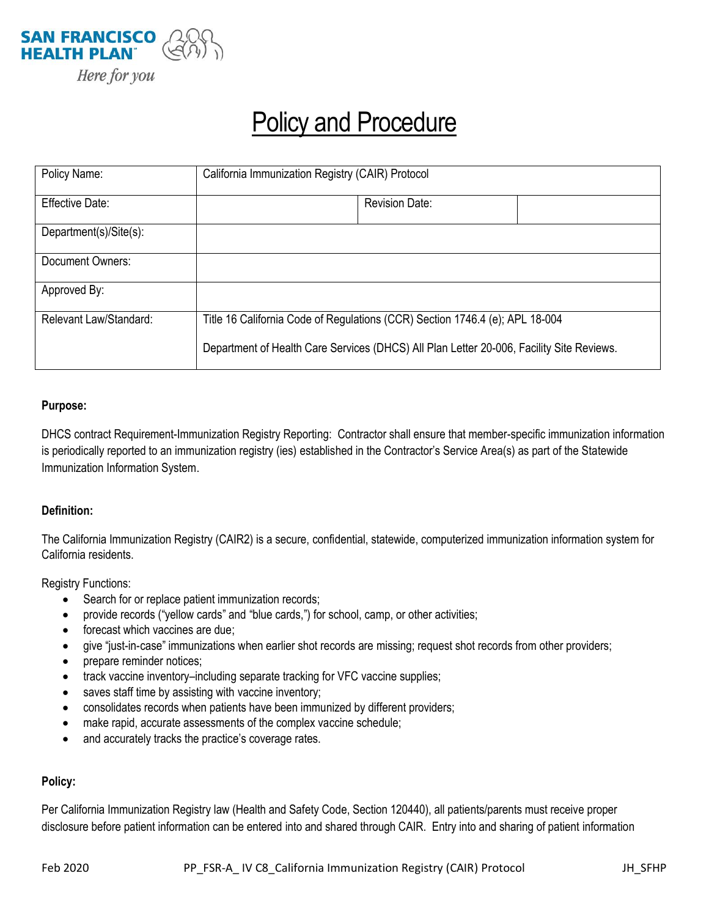

# **Policy and Procedure**

| Policy Name:           | California Immunization Registry (CAIR) Protocol                                                                                                                         |                       |  |
|------------------------|--------------------------------------------------------------------------------------------------------------------------------------------------------------------------|-----------------------|--|
| <b>Effective Date:</b> |                                                                                                                                                                          | <b>Revision Date:</b> |  |
| Department(s)/Site(s): |                                                                                                                                                                          |                       |  |
| Document Owners:       |                                                                                                                                                                          |                       |  |
| Approved By:           |                                                                                                                                                                          |                       |  |
| Relevant Law/Standard: | Title 16 California Code of Regulations (CCR) Section 1746.4 (e); APL 18-004<br>Department of Health Care Services (DHCS) All Plan Letter 20-006, Facility Site Reviews. |                       |  |
|                        |                                                                                                                                                                          |                       |  |

### **Purpose:**

DHCS contract Requirement-Immunization Registry Reporting: Contractor shall ensure that member-specific immunization information is periodically reported to an immunization registry (ies) established in the Contractor's Service Area(s) as part of the Statewide Immunization Information System.

### **Definition:**

The California Immunization Registry (CAIR2) is a secure, confidential, statewide, computerized immunization information system for California residents.

Registry Functions:

- Search for or replace patient immunization records;
- provide records ("yellow cards" and "blue cards,") for school, camp, or other activities;
- forecast which vaccines are due;
- give "just-in-case" immunizations when earlier shot records are missing; request shot records from other providers;
- prepare reminder notices;
- track vaccine inventory–including separate tracking for VFC vaccine supplies;
- saves staff time by assisting with vaccine inventory;
- consolidates records when patients have been immunized by different providers;
- make rapid, accurate assessments of the complex vaccine schedule;
- and accurately tracks the practice's coverage rates.

### **Policy:**

Per California Immunization Registry law (Health and Safety Code, Section 120440), all patients/parents must receive proper disclosure before patient information can be entered into and shared through CAIR. Entry into and sharing of patient information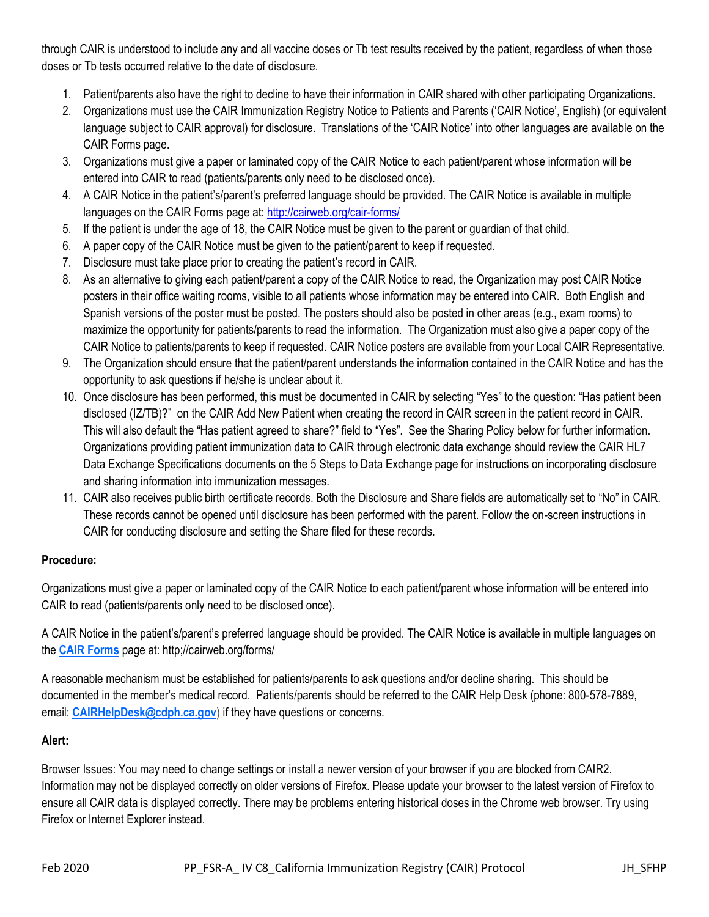through CAIR is understood to include any and all vaccine doses or Tb test results received by the patient, regardless of when those doses or Tb tests occurred relative to the date of disclosure.

- 1. Patient/parents also have the right to decline to have their information in CAIR shared with other participating Organizations.
- 2. Organizations must use the CAIR Immunization Registry Notice to Patients and Parents ('CAIR Notice', English) (or equivalent language subject to CAIR approval) for disclosure. Translations of the 'CAIR Notice' into other languages are available on the CAIR Forms page.
- 3. Organizations must give a paper or laminated copy of the CAIR Notice to each patient/parent whose information will be entered into CAIR to read (patients/parents only need to be disclosed once).
- 4. A CAIR Notice in the patient's/parent's preferred language should be provided. The CAIR Notice is available in multiple languages on the CAIR Forms page at:<http://cairweb.org/cair-forms/>
- 5. If the patient is under the age of 18, the CAIR Notice must be given to the parent or guardian of that child.
- 6. A paper copy of the CAIR Notice must be given to the patient/parent to keep if requested.
- 7. Disclosure must take place prior to creating the patient's record in CAIR.
- 8. As an alternative to giving each patient/parent a copy of the CAIR Notice to read, the Organization may post CAIR Notice posters in their office waiting rooms, visible to all patients whose information may be entered into CAIR. Both English and Spanish versions of the poster must be posted. The posters should also be posted in other areas (e.g., exam rooms) to maximize the opportunity for patients/parents to read the information. The Organization must also give a paper copy of the CAIR Notice to patients/parents to keep if requested. CAIR Notice posters are available from your Local CAIR Representative.
- 9. The Organization should ensure that the patient/parent understands the information contained in the CAIR Notice and has the opportunity to ask questions if he/she is unclear about it.
- 10. Once disclosure has been performed, this must be documented in CAIR by selecting "Yes" to the question: "Has patient been disclosed (IZ/TB)?" on the CAIR Add New Patient when creating the record in CAIR screen in the patient record in CAIR. This will also default the "Has patient agreed to share?" field to "Yes". See the Sharing Policy below for further information. Organizations providing patient immunization data to CAIR through electronic data exchange should review the CAIR HL7 Data Exchange Specifications documents on the 5 Steps to Data Exchange page for instructions on incorporating disclosure and sharing information into immunization messages.
- 11. CAIR also receives public birth certificate records. Both the Disclosure and Share fields are automatically set to "No" in CAIR. These records cannot be opened until disclosure has been performed with the parent. Follow the on-screen instructions in CAIR for conducting disclosure and setting the Share filed for these records.

## **Procedure:**

Organizations must give a paper or laminated copy of the CAIR Notice to each patient/parent whose information will be entered into CAIR to read (patients/parents only need to be disclosed once).

A CAIR Notice in the patient's/parent's preferred language should be provided. The CAIR Notice is available in multiple languages on the **[CAIR Forms](http://cairweb.org/cair-forms/)** page at: http;//cairweb.org/forms/

A reasonable mechanism must be established for patients/parents to ask questions and/or decline sharing. This should be documented in the member's medical record. Patients/parents should be referred to the CAIR Help Desk (phone: 800-578-7889, email: **[CAIRHelpDesk@cdph.ca.gov](mailto:CAIRHelpDesk@cdph.ca.gov)**) if they have questions or concerns.

## **Alert:**

Browser Issues: You may need to change settings or install a newer version of your browser if you are blocked from CAIR2. Information may not be displayed correctly on older versions of Firefox. Please update your browser to the latest version of Firefox to ensure all CAIR data is displayed correctly. There may be problems entering historical doses in the Chrome web browser. Try using Firefox or Internet Explorer instead.